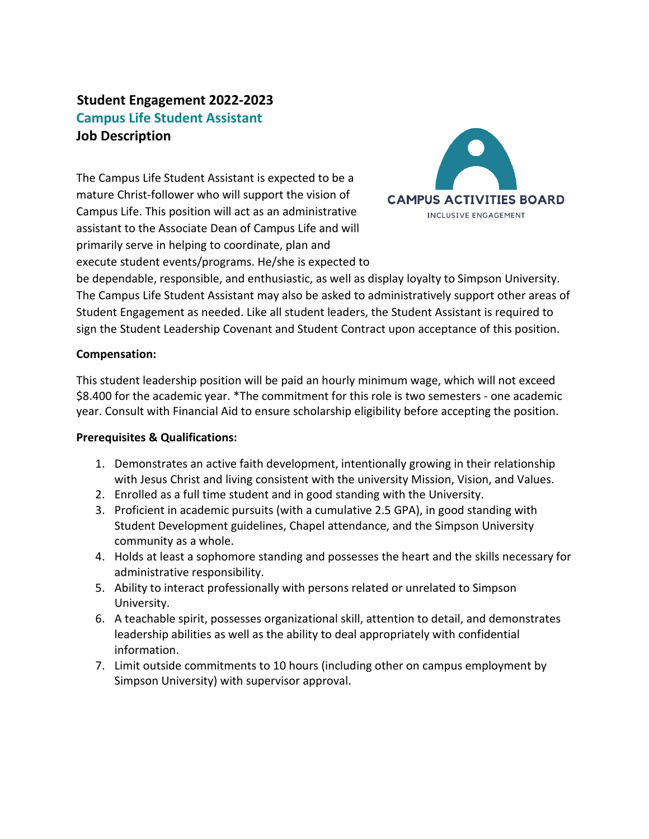# **Student Engagement 2022-2023 Campus Life Student Assistant Job Description**

The Campus Life Student Assistant is expected to be a mature Christ-follower who will support the vision of Campus Life. This position will act as an administrative assistant to the Associate Dean of Campus Life and will primarily serve in helping to coordinate, plan and execute student events/programs. He/she is expected to



be dependable, responsible, and enthusiastic, as well as display loyalty to Simpson University. The Campus Life Student Assistant may also be asked to administratively support other areas of Student Engagement as needed. Like all student leaders, the Student Assistant is required to sign the Student Leadership Covenant and Student Contract upon acceptance of this position.

### **Compensation:**

This student leadership position will be paid an hourly minimum wage, which will not exceed \$8.400 for the academic year. \*The commitment for this role is two semesters - one academic year. Consult with Financial Aid to ensure scholarship eligibility before accepting the position.

### **Prerequisites & Qualifications:**

- 1. Demonstrates an active faith development, intentionally growing in their relationship with Jesus Christ and living consistent with the university Mission, Vision, and Values.
- 2. Enrolled as a full time student and in good standing with the University.
- 3. Proficient in academic pursuits (with a cumulative 2.5 GPA), in good standing with Student Development guidelines, Chapel attendance, and the Simpson University community as a whole.
- 4. Holds at least a sophomore standing and possesses the heart and the skills necessary for administrative responsibility.
- 5. Ability to interact professionally with persons related or unrelated to Simpson University.
- 6. A teachable spirit, possesses organizational skill, attention to detail, and demonstrates leadership abilities as well as the ability to deal appropriately with confidential information.
- 7. Limit outside commitments to 10 hours (including other on campus employment by Simpson University) with supervisor approval.